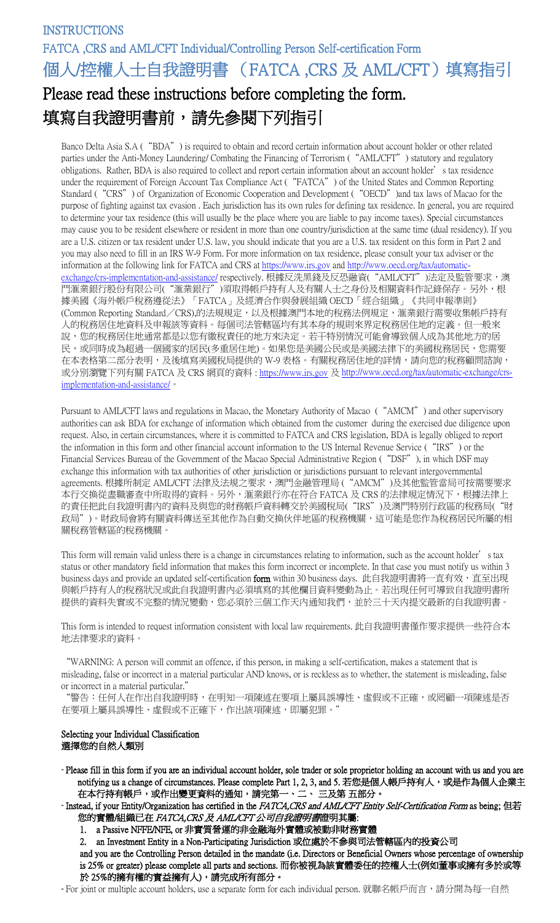Banco Delta Asia S.A ("BDA") is required to obtain and record certain information about account holder or other related parties under the Anti-Money Laundering/ Combating the Financing of Terrorism ("AML/CFT") statutory and regulatory obligations. Rather, BDA is also required to collect and report certain information about an account holder's tax residence under the requirement of Foreign Account Tax Compliance Act ("FATCA") of the United States and Common Reporting Standard ("CRS") of Organization of Economic Cooperation and Development ("OECD") and tax laws of Macao for the purpose of fighting against tax evasion . Each jurisdiction has its own rules for defining tax residence. In general, you are required to determine your tax residence (this will usually be the place where you are liable to pay income taxes). Special circumstances may cause you to be resident elsewhere or resident in more than one country/jurisdiction at the same time (dual residency). If you are a U.S. citizen or tax resident under U.S. law, you should indicate that you are a U.S. tax resident on this form in Part 2 and you may also need to fill in an IRS W-9 Form. For more information on tax residence, please consult your tax adviser or the information at the following link for FATCA and CRS a[t https://www.irs.gov](https://www.irs.gov/) and [http://www.oecd.org/tax/automatic](http://www.oecd.org/tax/automatic%E2%80%90exchange/crs%E2%80%90implementation%E2%80%90and%E2%80%90assistance/)exchange/crs-[implementation](http://www.oecd.org/tax/automatic%E2%80%90exchange/crs%E2%80%90implementation%E2%80%90and%E2%80%90assistance/)-and-assistance/ respectively. 根據反洗黑錢及反恐融資("AML/CFT")法定及監管要求,澳 門滙業銀行股份有限公司("滙業銀行")須取得帳戶持有人及有關人士之身份及相關資料作記錄保存。另外,根 據美國《海外帳戶稅務遵從法》「FATCA」及經濟合作與發展組織 OECD「經合組織」《共同申報準則》 (Common Reporting Standard/CRS),的法規規定,以及根據澳門本地的稅務法例規定,滙業銀行需要收集帳戶持有 人的稅務居住地資料及申報該等資料。每個司法管轄區均有其本身的規則來界定稅務居住地的定義。但一般來 說,您的稅務居住地通常都是以您有繳稅責任的地方來決定。若干特別情況可能會導致個人成為其他地方的居 民,或同時成為超過一個國家的居民(多重居住地)。如果您是美國公民或是美國法律下的美國稅務居民,您需要 在本表格第二部分表明,及後填寫美國稅局提供的 W-9 表格。有關稅務居住地的詳情,請向您的稅務顧問諮詢, 或分別瀏覽下列有關 FATCA 及 CRS 網頁的資料 [: https://www.irs.gov](https://www.irs.gov/) 及 [http://www.oecd.org/tax/automatic](http://www.oecd.org/tax/automatic%E2%80%90exchange/crs%E2%80%90implementation%E2%80%90and%E2%80%90assistance/)‐exchange/crs‐ [implementation](http://www.oecd.org/tax/automatic%E2%80%90exchange/crs%E2%80%90implementation%E2%80%90and%E2%80%90assistance/)‐and‐assistance/。

Pursuant to AML/CFT laws and regulations in Macao, the Monetary Authority of Macao ("AMCM") and other supervisory authorities can ask BDA for exchange of information which obtained from the customer during the exercised due diligence upon request. Also, in certain circumstances, where it is committed to FATCA and CRS legislation, BDA is legally obliged to report the information in this form and other financial account information to the US Internal Revenue Service ("IRS") or the Financial Services Bureau of the Government of the Macao Special Administrative Region ("DSF"), in which DSF may exchange this information with tax authorities of other jurisdiction or jurisdictions pursuant to relevant intergovernmental agreements. 根據所制定 AML/CFT 法律及法規之要求,澳門金融管理局 ("AMCM")及其他監管當局可按需要要求 本行交換從盡職審查中所取得的資料。另外,滙業銀行亦在符合 FATCA 及 CRS 的法律規定情況下,根據法律上 的責任把此自我證明書內的資料及與您的財務帳戶資料轉交於美國稅局("IRS")及澳門特別行政區的稅務局("財 政局")。財政局會將有關資料傳送至其他作為自動交換伙伴地區的稅務機關,這可能是您作為稅務居民所屬的相 關稅務管轄區的稅務機關。

This form will remain valid unless there is a change in circumstances relating to information, such as the account holder's tax status or other mandatory field information that makes this form incorrect or incomplete. In that case you must notify us within 3 business days and provide an updated self-certification form within 30 business days. 此自我證明書將一直有效,直至出現 與帳戶持有人的稅務狀況或此自我證明書內必須填寫的其他欄目資料變動為止。若出現任何可導致自我證明書所 提供的資料失實或不完整的情況變動,您必須於三個工作天內通知我們,並於三十天内提交最新的自我證明書。

This form is intended to request information consistent with local law requirements. 此自我證明書僅作要求提供一些符合本 地法律要求的資料。

"WARNING: A person will commit an offence, if this person, in making a self-certification, makes a statement that is misleading, false or incorrect in a material particular AND knows, or is reckless as to whether, the statement is misleading, false or incorrect in a material particular."

"警告:任何人在作出自我證明時,在明知一項陳述在要項上屬具誤導性、虛假或不正確,或罔顧一項陳述是否 在要項上屬具誤導性、虛假或不正確下,作出該項陳述,即屬犯罪。'

### Selecting your Individual Classification 選擇您的自然人類別

- Please fill in this form if you are an individual account holder, sole trader or sole proprietor holding an account with us and you are notifying us a change of circumstances. Please complete Part 1, 2, 3, and 5. 若您是個人帳戶持有人,或是作為個人企業主 在本行持有帳戶,或作出變更資料的通知,請完第一、二、三及第 五部分。
- Instead, if your Entity/Organization has certified in the FATCA,CRS and AML/CFT Entity Self-Certification Form as being; 但若 您的實體/組織已在 FATCA,CRS及 AML/CFT公司自我證明書證明其屬:
	- 1. a Passive NFFE/NFE, or 非實質營運的非金融海外實體或被動非財務實體
	- 2. an Investment Entity in a Non-Participating Jurisdiction 或位處於不參與司法管轄區內的投資公司

and you are the Controlling Person detailed in the mandate (i.e. Directors or Beneficial Owners whose percentage of ownership is 25% or greater) please complete all parts and sections. 而你被視為該實體委任的控權人士(例如董事或擁有多於或等 於 25%的擁有權的實益擁有人),請完成所有部分。

- For joint or multiple account holders, use a separate form for each individual person. 就聯名帳戶而言,請分開為每一自然